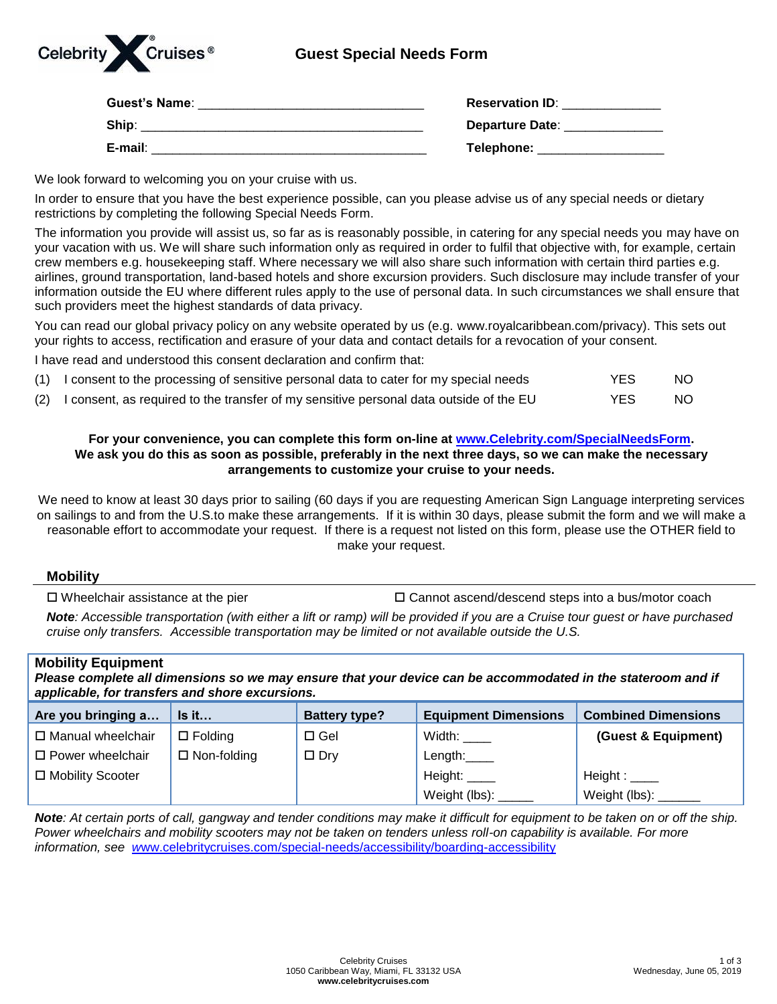

## **Guest Special Needs Form**

| <b>Guest's Name:</b> | <b>Reservation ID:</b> |
|----------------------|------------------------|
| Ship:                | <b>Departure Date:</b> |
| E-mail:              | Telephone:             |

We look forward to welcoming you on your cruise with us.

In order to ensure that you have the best experience possible, can you please advise us of any special needs or dietary restrictions by completing the following Special Needs Form.

The information you provide will assist us, so far as is reasonably possible, in catering for any special needs you may have on your vacation with us. We will share such information only as required in order to fulfil that objective with, for example, certain crew members e.g. housekeeping staff. Where necessary we will also share such information with certain third parties e.g. airlines, ground transportation, land-based hotels and shore excursion providers. Such disclosure may include transfer of your information outside the EU where different rules apply to the use of personal data. In such circumstances we shall ensure that such providers meet the highest standards of data privacy.

You can read our global privacy policy on any website operated by us (e.g. [www.royalcaribbean.com/privacy\)](http://www.royalcaribbean.com/privacy). This sets out your rights to access, rectification and erasure of your data and contact details for a revocation of your consent.

I have read and understood this consent declaration and confirm that:

| (1) I consent to the processing of sensitive personal data to cater for my special needs   | YES. | NO. |
|--------------------------------------------------------------------------------------------|------|-----|
| (2) I consent, as required to the transfer of my sensitive personal data outside of the EU | YES. | NO. |

## **For your convenience, you can complete this form on-line at [www.Celebrity.com/SpecialNeedsForm.](http://www.celebrity.com/SpecialNeedsForm) We ask you do this as soon as possible, preferably in the next three days, so we can make the necessary arrangements to customize your cruise to your needs.**

We need to know at least 30 days prior to sailing (60 days if you are requesting American Sign Language interpreting services on sailings to and from the U.S.to make these arrangements. If it is within 30 days, please submit the form and we will make a reasonable effort to accommodate your request. If there is a request not listed on this form, please use the OTHER field to make your request.

## **Mobility**

 $\Box$  Wheelchair assistance at the pier  $\Box$  Cannot ascend/descend steps into a bus/motor coach

*Note: Accessible transportation (with either a lift or ramp) will be provided if you are a Cruise tour guest or have purchased cruise only transfers. Accessible transportation may be limited or not available outside the U.S.*

| <b>Mobility Equipment</b><br>Please complete all dimensions so we may ensure that your device can be accommodated in the stateroom and if<br>applicable, for transfers and shore excursions. |                    |                      |                             |                            |
|----------------------------------------------------------------------------------------------------------------------------------------------------------------------------------------------|--------------------|----------------------|-----------------------------|----------------------------|
| Are you bringing a                                                                                                                                                                           | Is it              | <b>Battery type?</b> | <b>Equipment Dimensions</b> | <b>Combined Dimensions</b> |
| □ Manual wheelchair                                                                                                                                                                          | $\Box$ Folding     | $\Box$ Gel           | Width: $\frac{1}{1}$        | (Guest & Equipment)        |
| $\Box$ Power wheelchair                                                                                                                                                                      | $\Box$ Non-folding | $\Box$ Dry           | Length:                     |                            |
| □ Mobility Scooter                                                                                                                                                                           |                    |                      | Height:                     | Height : $\_\_\_\_\$       |

*Note: At certain ports of call, gangway and tender conditions may make it difficult for equipment to be taken on or off the ship. Power wheelchairs and mobility scooters may not be taken on tenders unless roll-on capability is available. For more information, see w*[ww.celebritycruises.com/special-needs/accessibility/boarding-accessibility](http://www.celebritycruises.com/special-needs/accessibility/boarding-accessibility)

Weight (lbs):

Weight (lbs):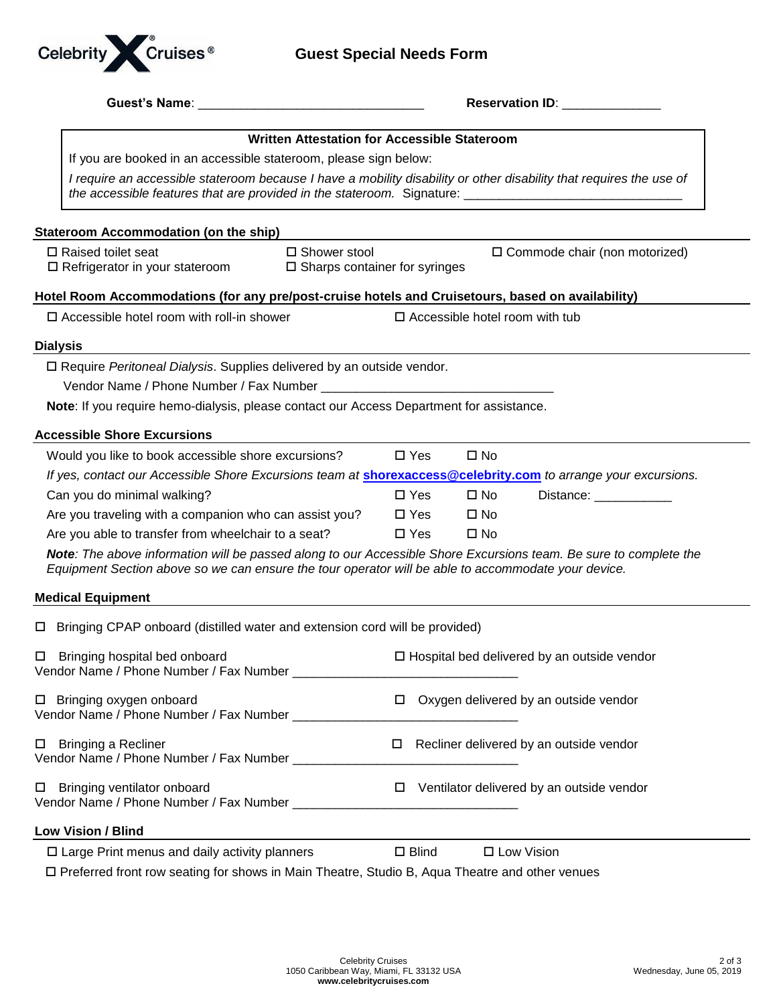

|                                                                                                                                                                                                                          |                 |                                       | <b>Reservation ID:</b> Reservation 10:             |
|--------------------------------------------------------------------------------------------------------------------------------------------------------------------------------------------------------------------------|-----------------|---------------------------------------|----------------------------------------------------|
| Written Attestation for Accessible Stateroom                                                                                                                                                                             |                 |                                       |                                                    |
| If you are booked in an accessible stateroom, please sign below:                                                                                                                                                         |                 |                                       |                                                    |
| I require an accessible stateroom because I have a mobility disability or other disability that requires the use of                                                                                                      |                 |                                       |                                                    |
| <b>Stateroom Accommodation (on the ship)</b>                                                                                                                                                                             |                 |                                       |                                                    |
| $\Box$ Raised toilet seat<br>□ Shower stool<br>□ Refrigerator in your stateroom<br>$\square$ Sharps container for syringes                                                                                               |                 |                                       | $\Box$ Commode chair (non motorized)               |
| Hotel Room Accommodations (for any pre/post-cruise hotels and Cruisetours, based on availability)                                                                                                                        |                 |                                       |                                                    |
| $\square$ Accessible hotel room with roll-in shower                                                                                                                                                                      |                 | $\Box$ Accessible hotel room with tub |                                                    |
| <b>Dialysis</b>                                                                                                                                                                                                          |                 |                                       |                                                    |
| □ Require Peritoneal Dialysis. Supplies delivered by an outside vendor.                                                                                                                                                  |                 |                                       |                                                    |
|                                                                                                                                                                                                                          |                 |                                       |                                                    |
| Note: If you require hemo-dialysis, please contact our Access Department for assistance.                                                                                                                                 |                 |                                       |                                                    |
| <b>Accessible Shore Excursions</b>                                                                                                                                                                                       |                 |                                       |                                                    |
| Would you like to book accessible shore excursions?                                                                                                                                                                      | $\square$ Yes   | $\square$ No                          |                                                    |
| If yes, contact our Accessible Shore Excursions team at <b>shorexaccess@celebrity.com</b> to arrange your excursions.                                                                                                    |                 |                                       |                                                    |
| Can you do minimal walking?                                                                                                                                                                                              | $\Box$ Yes      | $\square$ No                          | Distance: ___________                              |
| Are you traveling with a companion who can assist you?                                                                                                                                                                   | $\square$ Yes   | $\square$ No                          |                                                    |
| Are you able to transfer from wheelchair to a seat?                                                                                                                                                                      | $\square$ Yes   | $\square$ No                          |                                                    |
| Note: The above information will be passed along to our Accessible Shore Excursions team. Be sure to complete the<br>Equipment Section above so we can ensure the tour operator will be able to accommodate your device. |                 |                                       |                                                    |
| <b>Medical Equipment</b>                                                                                                                                                                                                 |                 |                                       |                                                    |
| □ Bringing CPAP onboard (distilled water and extension cord will be provided)                                                                                                                                            |                 |                                       |                                                    |
| $\Box$ Bringing hospital bed onboard                                                                                                                                                                                     |                 |                                       | $\Box$ Hospital bed delivered by an outside vendor |
| □ Bringing oxygen onboard<br>Vendor Name / Phone Number / Fax Number _____________                                                                                                                                       |                 |                                       | $\Box$ Oxygen delivered by an outside vendor       |
| □ Bringing a Recliner<br>Vendor Name / Phone Number / Fax Number ______________                                                                                                                                          |                 |                                       | $\Box$ Recliner delivered by an outside vendor     |
| □ Bringing ventilator onboard                                                                                                                                                                                            | □               |                                       | Ventilator delivered by an outside vendor          |
| Low Vision / Blind                                                                                                                                                                                                       |                 |                                       |                                                    |
| $\square$ Large Print menus and daily activity planners                                                                                                                                                                  | $\square$ Blind |                                       | □ Low Vision                                       |
| □ Preferred front row seating for shows in Main Theatre, Studio B, Aqua Theatre and other venues                                                                                                                         |                 |                                       |                                                    |